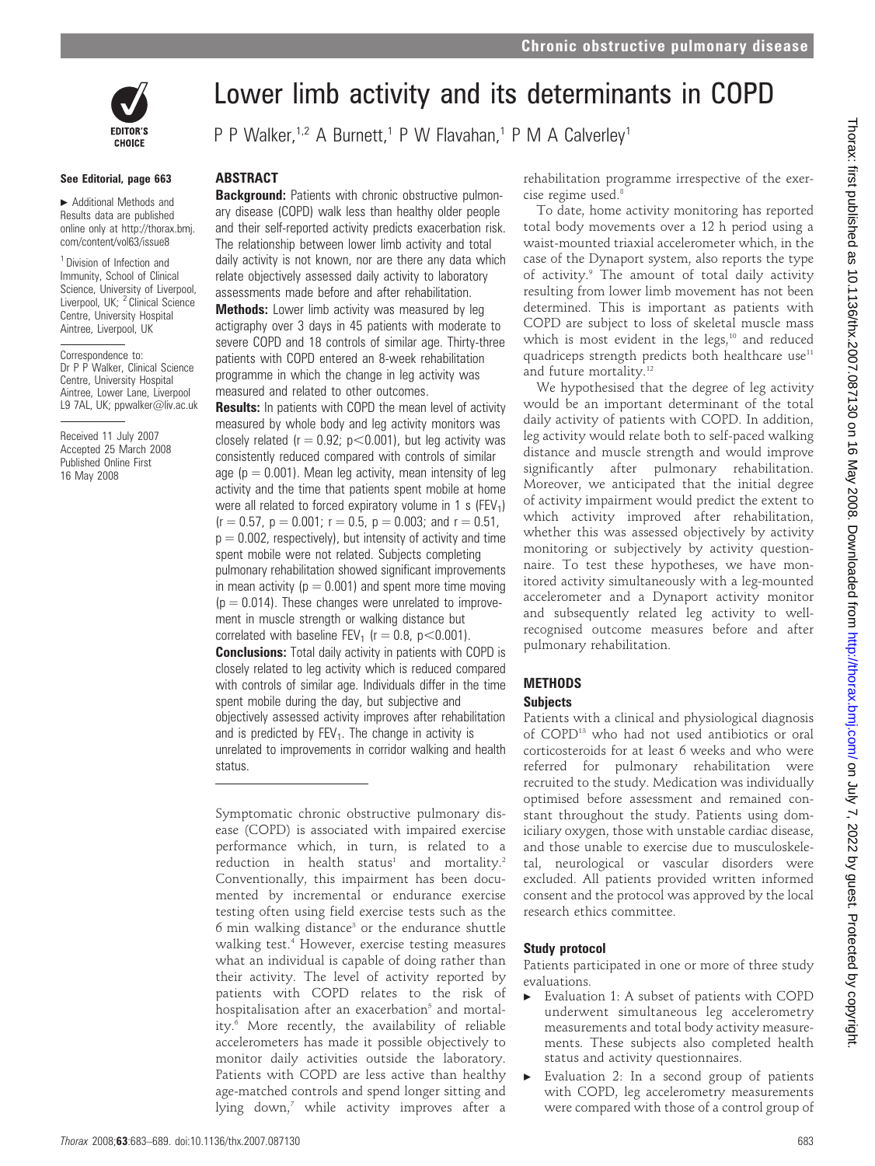

#### See Editorial, page 663

 $\blacktriangleright$  Additional Methods and Results data are published online only at http://thorax.bmj. com/content/vol63/issue8

<sup>1</sup> Division of Infection and Immunity, School of Clinical Science, University of Liverpool, Liverpool, UK; <sup>2</sup> Clinical Science Centre, University Hospital Aintree, Liverpool, UK

Correspondence to: Dr P P Walker, Clinical Science Centre, University Hospital Aintree, Lower Lane, Liverpool L9 7AL, UK; ppwalker@liv.ac.uk

Received 11 July 2007 Accepted 25 March 2008 Published Online First 16 May 2008

# Lower limb activity and its determinants in COPD

P P Walker,<sup>1,2</sup> A Burnett,<sup>1</sup> P W Flavahan,<sup>1</sup> P M A Calverley<sup>1</sup>

## **ABSTRACT**

**Background:** Patients with chronic obstructive pulmonary disease (COPD) walk less than healthy older people and their self-reported activity predicts exacerbation risk. The relationship between lower limb activity and total daily activity is not known, nor are there any data which relate objectively assessed daily activity to laboratory assessments made before and after rehabilitation. **Methods:** Lower limb activity was measured by leg actigraphy over 3 days in 45 patients with moderate to

severe COPD and 18 controls of similar age. Thirty-three patients with COPD entered an 8-week rehabilitation programme in which the change in leg activity was measured and related to other outcomes.

**Results:** In patients with COPD the mean level of activity measured by whole body and leg activity monitors was closely related ( $r = 0.92$ ;  $p < 0.001$ ), but leg activity was consistently reduced compared with controls of similar age ( $p = 0.001$ ). Mean leg activity, mean intensity of leg activity and the time that patients spent mobile at home were all related to forced expiratory volume in 1 s (FEV<sub>1</sub>)  $(r = 0.57, p = 0.001; r = 0.5, p = 0.003;$  and  $r = 0.51$ ,  $p = 0.002$ , respectively), but intensity of activity and time spent mobile were not related. Subjects completing pulmonary rehabilitation showed significant improvements in mean activity ( $p = 0.001$ ) and spent more time moving  $(p = 0.014)$ . These changes were unrelated to improvement in muscle strength or walking distance but correlated with baseline FEV<sub>1</sub> ( $r = 0.8$ ,  $p < 0.001$ ). **Conclusions:** Total daily activity in patients with COPD is closely related to leg activity which is reduced compared with controls of similar age. Individuals differ in the time spent mobile during the day, but subjective and objectively assessed activity improves after rehabilitation and is predicted by  $FEV<sub>1</sub>$ . The change in activity is unrelated to improvements in corridor walking and health status.

Symptomatic chronic obstructive pulmonary disease (COPD) is associated with impaired exercise performance which, in turn, is related to a  $reduction$  in health status<sup>1</sup> and mortality.<sup>2</sup> Conventionally, this impairment has been documented by incremental or endurance exercise testing often using field exercise tests such as the  $6$  min walking distance<sup>3</sup> or the endurance shuttle walking test.4 However, exercise testing measures what an individual is capable of doing rather than their activity. The level of activity reported by patients with COPD relates to the risk of hospitalisation after an exacerbation<sup>5</sup> and mortality.<sup>6</sup> More recently, the availability of reliable accelerometers has made it possible objectively to monitor daily activities outside the laboratory. Patients with COPD are less active than healthy age-matched controls and spend longer sitting and lying down,<sup>7</sup> while activity improves after a rehabilitation programme irrespective of the exercise regime used.<sup>8</sup>

To date, home activity monitoring has reported total body movements over a 12 h period using a waist-mounted triaxial accelerometer which, in the case of the Dynaport system, also reports the type of activity.<sup>9</sup> The amount of total daily activity resulting from lower limb movement has not been determined. This is important as patients with COPD are subject to loss of skeletal muscle mass which is most evident in the legs,<sup>10</sup> and reduced quadriceps strength predicts both healthcare use $11$ and future mortality.<sup>12</sup>

We hypothesised that the degree of leg activity would be an important determinant of the total daily activity of patients with COPD. In addition, leg activity would relate both to self-paced walking distance and muscle strength and would improve significantly after pulmonary rehabilitation. Moreover, we anticipated that the initial degree of activity impairment would predict the extent to which activity improved after rehabilitation, whether this was assessed objectively by activity monitoring or subjectively by activity questionnaire. To test these hypotheses, we have monitored activity simultaneously with a leg-mounted accelerometer and a Dynaport activity monitor and subsequently related leg activity to wellrecognised outcome measures before and after pulmonary rehabilitation.

## METHODS

#### **Subjects**

Patients with a clinical and physiological diagnosis of COPD13 who had not used antibiotics or oral corticosteroids for at least 6 weeks and who were referred for pulmonary rehabilitation were recruited to the study. Medication was individually optimised before assessment and remained constant throughout the study. Patients using domiciliary oxygen, those with unstable cardiac disease, and those unable to exercise due to musculoskeletal, neurological or vascular disorders were excluded. All patients provided written informed consent and the protocol was approved by the local research ethics committee.

#### Study protocol

Patients participated in one or more of three study evaluations.

- $\blacktriangleright$  Evaluation 1: A subset of patients with COPD underwent simultaneous leg accelerometry measurements and total body activity measurements. These subjects also completed health status and activity questionnaires.
- $\blacktriangleright$  Evaluation 2: In a second group of patients with COPD, leg accelerometry measurements were compared with those of a control group of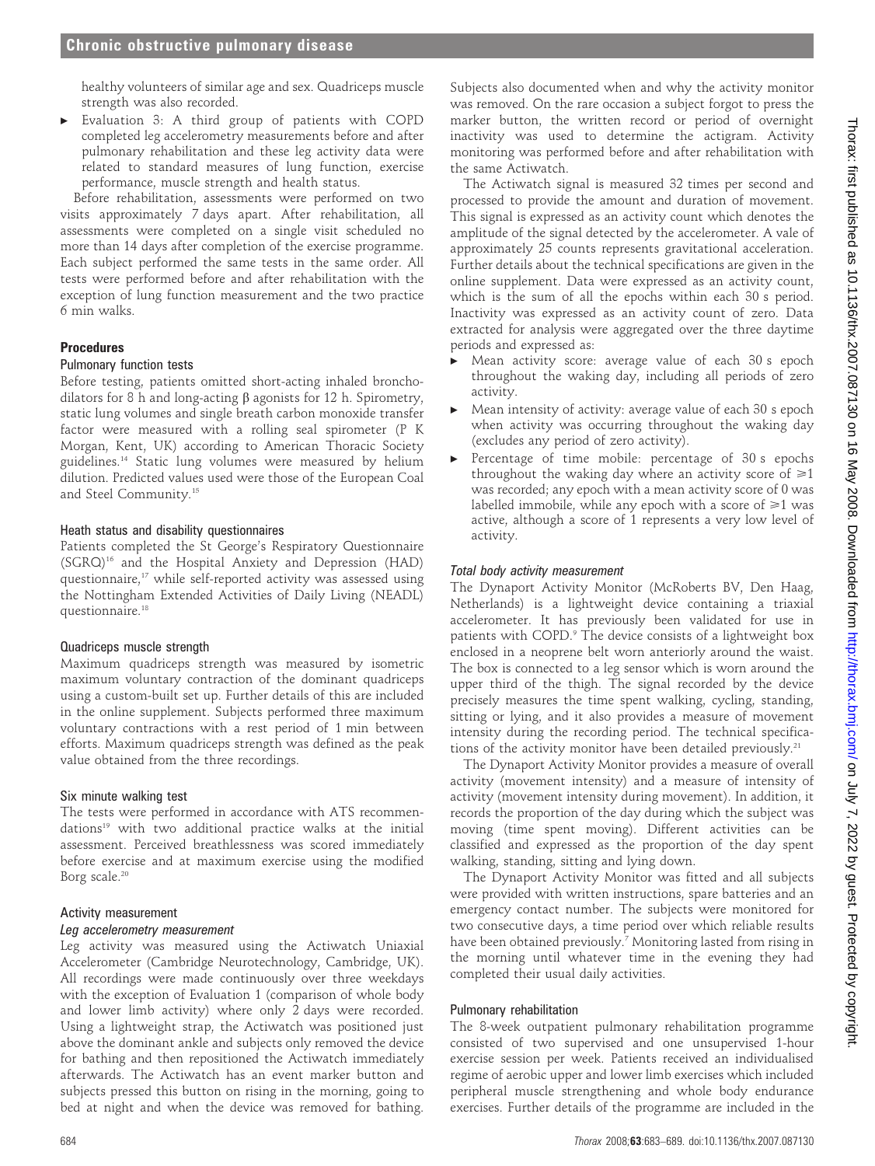healthy volunteers of similar age and sex. Quadriceps muscle strength was also recorded.

Evaluation 3: A third group of patients with COPD completed leg accelerometry measurements before and after pulmonary rehabilitation and these leg activity data were related to standard measures of lung function, exercise performance, muscle strength and health status.

Before rehabilitation, assessments were performed on two visits approximately 7 days apart. After rehabilitation, all assessments were completed on a single visit scheduled no more than 14 days after completion of the exercise programme. Each subject performed the same tests in the same order. All tests were performed before and after rehabilitation with the exception of lung function measurement and the two practice 6 min walks.

#### Procedures

## Pulmonary function tests

Before testing, patients omitted short-acting inhaled bronchodilators for 8 h and long-acting  $\beta$  agonists for 12 h. Spirometry, static lung volumes and single breath carbon monoxide transfer factor were measured with a rolling seal spirometer (P K Morgan, Kent, UK) according to American Thoracic Society guidelines.14 Static lung volumes were measured by helium dilution. Predicted values used were those of the European Coal and Steel Community.15

#### Heath status and disability questionnaires

Patients completed the St George's Respiratory Questionnaire (SGRQ)16 and the Hospital Anxiety and Depression (HAD) questionnaire,<sup>17</sup> while self-reported activity was assessed using the Nottingham Extended Activities of Daily Living (NEADL) questionnaire.18

#### Quadriceps muscle strength

Maximum quadriceps strength was measured by isometric maximum voluntary contraction of the dominant quadriceps using a custom-built set up. Further details of this are included in the online supplement. Subjects performed three maximum voluntary contractions with a rest period of 1 min between efforts. Maximum quadriceps strength was defined as the peak value obtained from the three recordings.

#### Six minute walking test

The tests were performed in accordance with ATS recommendations<sup>19</sup> with two additional practice walks at the initial assessment. Perceived breathlessness was scored immediately before exercise and at maximum exercise using the modified Borg scale.<sup>20</sup>

#### Activity measurement

#### Leg accelerometry measurement

Leg activity was measured using the Actiwatch Uniaxial Accelerometer (Cambridge Neurotechnology, Cambridge, UK). All recordings were made continuously over three weekdays with the exception of Evaluation 1 (comparison of whole body and lower limb activity) where only 2 days were recorded. Using a lightweight strap, the Actiwatch was positioned just above the dominant ankle and subjects only removed the device for bathing and then repositioned the Actiwatch immediately afterwards. The Actiwatch has an event marker button and subjects pressed this button on rising in the morning, going to bed at night and when the device was removed for bathing.

Subjects also documented when and why the activity monitor was removed. On the rare occasion a subject forgot to press the marker button, the written record or period of overnight inactivity was used to determine the actigram. Activity monitoring was performed before and after rehabilitation with the same Actiwatch.

The Actiwatch signal is measured 32 times per second and processed to provide the amount and duration of movement. This signal is expressed as an activity count which denotes the amplitude of the signal detected by the accelerometer. A vale of approximately 25 counts represents gravitational acceleration. Further details about the technical specifications are given in the online supplement. Data were expressed as an activity count, which is the sum of all the epochs within each 30 s period. Inactivity was expressed as an activity count of zero. Data extracted for analysis were aggregated over the three daytime periods and expressed as:

- Mean activity score: average value of each 30 s epoch throughout the waking day, including all periods of zero activity.
- $\blacktriangleright$  Mean intensity of activity: average value of each 30 s epoch when activity was occurring throughout the waking day (excludes any period of zero activity).
- $\blacktriangleright$  Percentage of time mobile: percentage of 30 s epochs throughout the waking day where an activity score of  $\geq 1$ was recorded; any epoch with a mean activity score of 0 was labelled immobile, while any epoch with a score of  $\geq 1$  was active, although a score of 1 represents a very low level of activity.

## Total body activity measurement

The Dynaport Activity Monitor (McRoberts BV, Den Haag, Netherlands) is a lightweight device containing a triaxial accelerometer. It has previously been validated for use in patients with COPD.<sup>9</sup> The device consists of a lightweight box enclosed in a neoprene belt worn anteriorly around the waist. The box is connected to a leg sensor which is worn around the upper third of the thigh. The signal recorded by the device precisely measures the time spent walking, cycling, standing, sitting or lying, and it also provides a measure of movement intensity during the recording period. The technical specifications of the activity monitor have been detailed previously.<sup>21</sup>

The Dynaport Activity Monitor provides a measure of overall activity (movement intensity) and a measure of intensity of activity (movement intensity during movement). In addition, it records the proportion of the day during which the subject was moving (time spent moving). Different activities can be classified and expressed as the proportion of the day spent walking, standing, sitting and lying down.

The Dynaport Activity Monitor was fitted and all subjects were provided with written instructions, spare batteries and an emergency contact number. The subjects were monitored for two consecutive days, a time period over which reliable results have been obtained previously.<sup>7</sup> Monitoring lasted from rising in the morning until whatever time in the evening they had completed their usual daily activities.

#### Pulmonary rehabilitation

The 8-week outpatient pulmonary rehabilitation programme consisted of two supervised and one unsupervised 1-hour exercise session per week. Patients received an individualised regime of aerobic upper and lower limb exercises which included peripheral muscle strengthening and whole body endurance exercises. Further details of the programme are included in the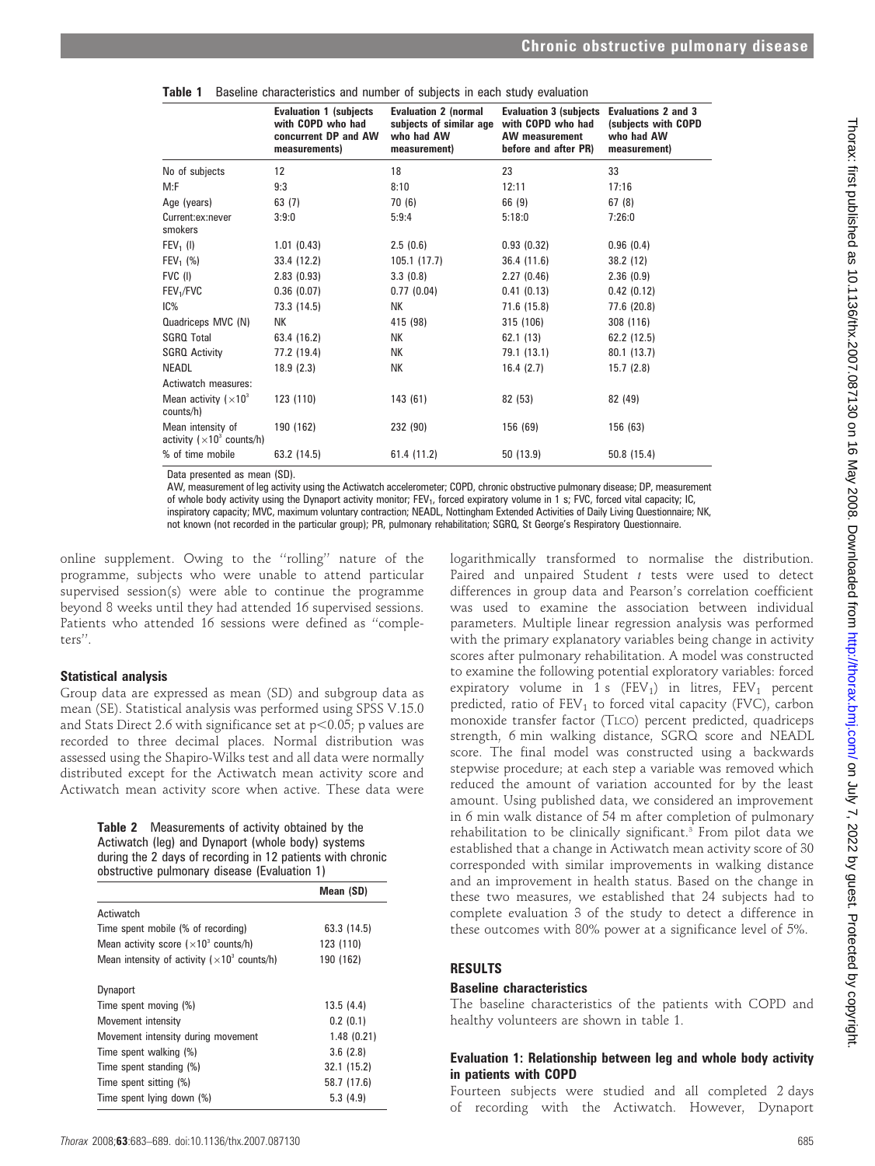|                                                         | <b>Evaluation 1 (subjects</b><br>with COPD who had<br>concurrent DP and AW<br>measurements) | <b>Evaluation 2 (normal</b><br>subjects of similar age<br>who had AW<br>measurement) | <b>Evaluation 3 (subjects Evaluations 2 and 3</b><br>with COPD who had<br><b>AW</b> measurement<br>before and after PR) | (subjects with COPD<br>who had AW<br>measurement) |
|---------------------------------------------------------|---------------------------------------------------------------------------------------------|--------------------------------------------------------------------------------------|-------------------------------------------------------------------------------------------------------------------------|---------------------------------------------------|
| No of subjects                                          | $12 \overline{ }$                                                                           | 18                                                                                   | 23                                                                                                                      | 33                                                |
| M:F                                                     | 9:3                                                                                         | 8:10                                                                                 | 12:11                                                                                                                   | 17:16                                             |
| Age (years)                                             | 63(7)                                                                                       | 70 (6)                                                                               | 66 (9)                                                                                                                  | 67(8)                                             |
| Current:ex:never<br>smokers                             | 3:9:0                                                                                       | 5:9:4                                                                                | 5:18:0                                                                                                                  | 7:26:0                                            |
| $FEV1$ (I)                                              | 1.01(0.43)                                                                                  | 2.5(0.6)                                                                             | 0.93(0.32)                                                                                                              | 0.96(0.4)                                         |
| $FEV_1$ (%)                                             | 33.4 (12.2)                                                                                 | 105.1(17.7)                                                                          | 36.4(11.6)                                                                                                              | 38.2 (12)                                         |
| FVC (I)                                                 | 2.83(0.93)                                                                                  | 3.3(0.8)                                                                             | 2.27(0.46)                                                                                                              | 2.36(0.9)                                         |
| FEV <sub>1</sub> /FVC                                   | 0.36(0.07)                                                                                  | 0.77(0.04)                                                                           | 0.41(0.13)                                                                                                              | 0.42(0.12)                                        |
| IC%                                                     | 73.3 (14.5)                                                                                 | NΚ                                                                                   | 71.6 (15.8)                                                                                                             | 77.6 (20.8)                                       |
| Quadriceps MVC (N)                                      | NΚ                                                                                          | 415 (98)                                                                             | 315 (106)                                                                                                               | 308 (116)                                         |
| <b>SGRQ Total</b>                                       | 63.4 (16.2)                                                                                 | NΚ                                                                                   | 62.1(13)                                                                                                                | 62.2 (12.5)                                       |
| <b>SGRO Activity</b>                                    | 77.2 (19.4)                                                                                 | NК                                                                                   | 79.1 (13.1)                                                                                                             | 80.1 (13.7)                                       |
| <b>NEADL</b>                                            | 18.9(2.3)                                                                                   | NΚ                                                                                   | 16.4(2.7)                                                                                                               | 15.7(2.8)                                         |
| Actiwatch measures:                                     |                                                                                             |                                                                                      |                                                                                                                         |                                                   |
| Mean activity $(x10^3)$<br>counts/h)                    | 123 (110)                                                                                   | 143 (61)                                                                             | 82 (53)                                                                                                                 | 82 (49)                                           |
| Mean intensity of<br>activity ( $\times 10^3$ counts/h) | 190 (162)                                                                                   | 232 (90)                                                                             | 156 (69)                                                                                                                | 156 (63)                                          |
| % of time mobile                                        | 63.2 (14.5)                                                                                 | 61.4 (11.2)                                                                          | 50 (13.9)                                                                                                               | 50.8(15.4)                                        |

|  |  | Table 1 Baseline characteristics and number of subjects in each study evaluation |  |  |  |  |  |  |  |  |
|--|--|----------------------------------------------------------------------------------|--|--|--|--|--|--|--|--|
|--|--|----------------------------------------------------------------------------------|--|--|--|--|--|--|--|--|

Data presented as mean (SD).

AW, measurement of leg activity using the Actiwatch accelerometer; COPD, chronic obstructive pulmonary disease; DP, measurement of whole body activity using the Dynaport activity monitor; FEV<sub>1</sub>, forced expiratory volume in 1 s; FVC, forced vital capacity; IC, inspiratory capacity; MVC, maximum voluntary contraction; NEADL, Nottingham Extended Activities of Daily Living Questionnaire; NK, not known (not recorded in the particular group); PR, pulmonary rehabilitation; SGRQ, St George's Respiratory Questionnaire.

online supplement. Owing to the ''rolling'' nature of the programme, subjects who were unable to attend particular supervised session(s) were able to continue the programme beyond 8 weeks until they had attended 16 supervised sessions. Patients who attended 16 sessions were defined as ''completers''.

#### Statistical analysis

Group data are expressed as mean (SD) and subgroup data as mean (SE). Statistical analysis was performed using SPSS V.15.0 and Stats Direct 2.6 with significance set at  $p<0.05$ ; p values are recorded to three decimal places. Normal distribution was assessed using the Shapiro-Wilks test and all data were normally distributed except for the Actiwatch mean activity score and Actiwatch mean activity score when active. These data were

> Table 2 Measurements of activity obtained by the Actiwatch (leg) and Dynaport (whole body) systems during the 2 days of recording in 12 patients with chronic obstructive pulmonary disease (Evaluation 1)

|                                                                 | Mean (SD)   |
|-----------------------------------------------------------------|-------------|
| Actiwatch                                                       |             |
| Time spent mobile (% of recording)                              | 63.3 (14.5) |
| Mean activity score $(x10^3 \text{ counts/h})$                  | 123 (110)   |
| Mean intensity of activity ( $\times$ 10 <sup>3</sup> counts/h) | 190 (162)   |
| <b>Dynaport</b>                                                 |             |
| Time spent moving (%)                                           | 13.5(4.4)   |
| Movement intensity                                              | 0.2(0.1)    |
| Movement intensity during movement                              | 1.48(0.21)  |
| Time spent walking (%)                                          | 3.6(2.8)    |
| Time spent standing (%)                                         | 32.1 (15.2) |
| Time spent sitting (%)                                          | 58.7 (17.6) |
| Time spent lying down (%)                                       | 5.3(4.9)    |

logarithmically transformed to normalise the distribution. Paired and unpaired Student t tests were used to detect differences in group data and Pearson's correlation coefficient was used to examine the association between individual parameters. Multiple linear regression analysis was performed with the primary explanatory variables being change in activity scores after pulmonary rehabilitation. A model was constructed to examine the following potential exploratory variables: forced expiratory volume in 1 s  $(FEV_1)$  in litres,  $FEV_1$  percent predicted, ratio of  $FEV<sub>1</sub>$  to forced vital capacity (FVC), carbon monoxide transfer factor (TLCO) percent predicted, quadriceps strength, 6 min walking distance, SGRQ score and NEADL score. The final model was constructed using a backwards stepwise procedure; at each step a variable was removed which reduced the amount of variation accounted for by the least amount. Using published data, we considered an improvement in 6 min walk distance of 54 m after completion of pulmonary rehabilitation to be clinically significant.3 From pilot data we established that a change in Actiwatch mean activity score of 30 corresponded with similar improvements in walking distance and an improvement in health status. Based on the change in these two measures, we established that 24 subjects had to complete evaluation 3 of the study to detect a difference in these outcomes with 80% power at a significance level of 5%.

## RESULTS

## Baseline characteristics

The baseline characteristics of the patients with COPD and healthy volunteers are shown in table 1.

## Evaluation 1: Relationship between leg and whole body activity in patients with COPD

Fourteen subjects were studied and all completed 2 days of recording with the Actiwatch. However, Dynaport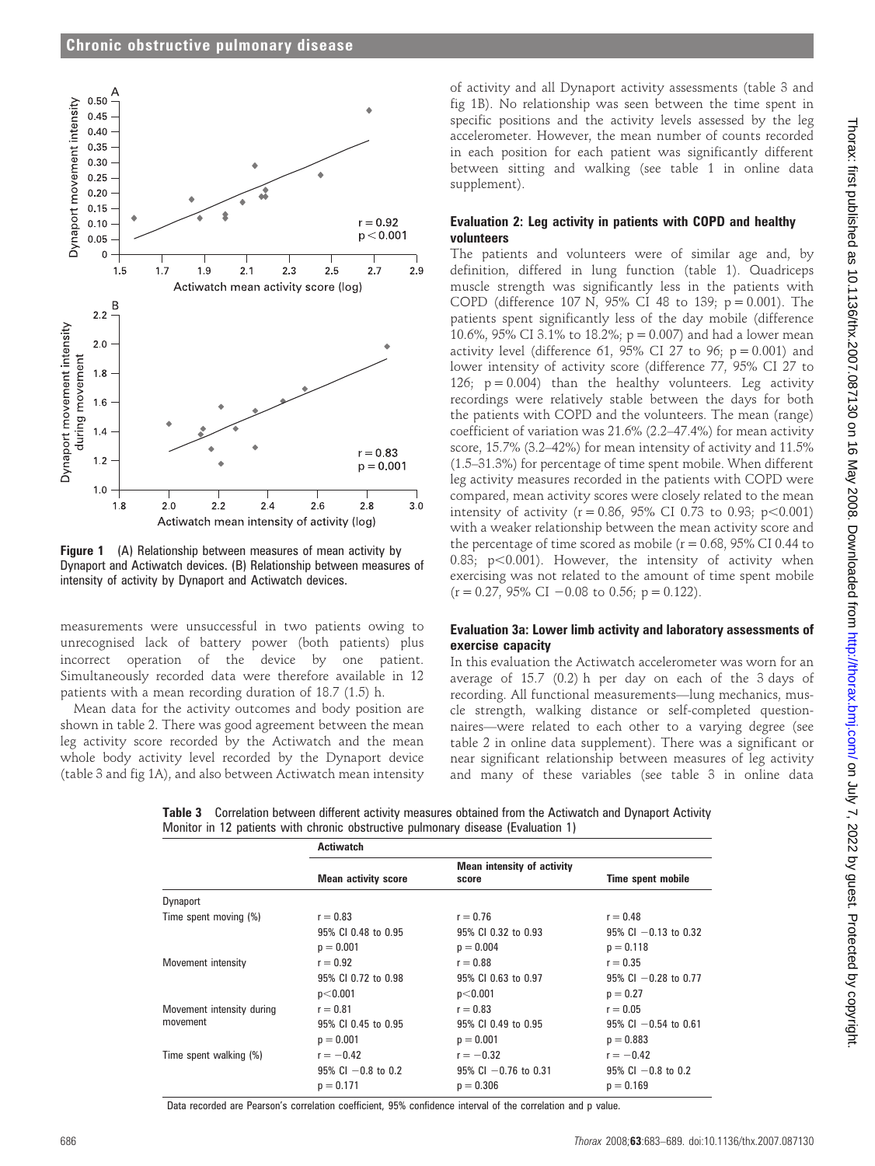

**Figure 1** (A) Relationship between measures of mean activity by Dynaport and Actiwatch devices. (B) Relationship between measures of intensity of activity by Dynaport and Actiwatch devices.

measurements were unsuccessful in two patients owing to unrecognised lack of battery power (both patients) plus incorrect operation of the device by one patient. Simultaneously recorded data were therefore available in 12 patients with a mean recording duration of 18.7 (1.5) h.

Mean data for the activity outcomes and body position are shown in table 2. There was good agreement between the mean leg activity score recorded by the Actiwatch and the mean whole body activity level recorded by the Dynaport device (table 3 and fig 1A), and also between Actiwatch mean intensity

of activity and all Dynaport activity assessments (table 3 and fig 1B). No relationship was seen between the time spent in specific positions and the activity levels assessed by the leg accelerometer. However, the mean number of counts recorded in each position for each patient was significantly different between sitting and walking (see table 1 in online data supplement).

# Evaluation 2: Leg activity in patients with COPD and healthy volunteers

The patients and volunteers were of similar age and, by definition, differed in lung function (table 1). Quadriceps muscle strength was significantly less in the patients with COPD (difference 107 N, 95% CI 48 to 139;  $p = 0.001$ ). The patients spent significantly less of the day mobile (difference 10.6%, 95% CI 3.1% to 18.2%;  $p = 0.007$ ) and had a lower mean activity level (difference 61, 95% CI 27 to 96;  $p = 0.001$ ) and lower intensity of activity score (difference 77, 95% CI 27 to 126;  $p = 0.004$ ) than the healthy volunteers. Leg activity recordings were relatively stable between the days for both the patients with COPD and the volunteers. The mean (range) coefficient of variation was 21.6% (2.2–47.4%) for mean activity score, 15.7% (3.2–42%) for mean intensity of activity and 11.5% (1.5–31.3%) for percentage of time spent mobile. When different leg activity measures recorded in the patients with COPD were compared, mean activity scores were closely related to the mean intensity of activity ( $r = 0.86$ , 95% CI 0.73 to 0.93;  $p < 0.001$ ) with a weaker relationship between the mean activity score and the percentage of time scored as mobile ( $r = 0.68$ , 95% CI 0.44 to 0.83;  $p<0.001$ ). However, the intensity of activity when exercising was not related to the amount of time spent mobile  $(r = 0.27, 95\% \text{ CI} - 0.08 \text{ to } 0.56; \text{ p} = 0.122).$ 

# Evaluation 3a: Lower limb activity and laboratory assessments of exercise capacity

In this evaluation the Actiwatch accelerometer was worn for an average of 15.7 (0.2) h per day on each of the 3 days of recording. All functional measurements—lung mechanics, muscle strength, walking distance or self-completed questionnaires—were related to each other to a varying degree (see table 2 in online data supplement). There was a significant or near significant relationship between measures of leg activity and many of these variables (see table 3 in online data

Table 3 Correlation between different activity measures obtained from the Actiwatch and Dynaport Activity Monitor in 12 patients with chronic obstructive pulmonary disease (Evaluation 1)

|                           | <b>Actiwatch</b>           |                                            |                           |
|---------------------------|----------------------------|--------------------------------------------|---------------------------|
|                           | <b>Mean activity score</b> | <b>Mean intensity of activity</b><br>score | Time spent mobile         |
| Dynaport                  |                            |                                            |                           |
| Time spent moving (%)     | $r = 0.83$                 | $r = 0.76$                                 | $r = 0.48$                |
|                           | 95% CI 0.48 to 0.95        | 95% CI 0.32 to 0.93                        | $95\%$ Cl $-0.13$ to 0.32 |
|                           | $p = 0.001$                | $p = 0.004$                                | $p = 0.118$               |
| Movement intensity        | $r = 0.92$                 | $r = 0.88$                                 | $r = 0.35$                |
|                           | 95% CI 0.72 to 0.98        | 95% CI 0.63 to 0.97                        | $95\%$ CI $-0.28$ to 0.77 |
|                           | p<0.001                    | p<0.001                                    | $p = 0.27$                |
| Movement intensity during | $r = 0.81$                 | $r = 0.83$                                 | $r = 0.05$                |
| movement                  | 95% CI 0.45 to 0.95        | 95% CI 0.49 to 0.95                        | $95\%$ CI $-0.54$ to 0.61 |
|                           | $p = 0.001$                | $p = 0.001$                                | $p = 0.883$               |
| Time spent walking (%)    | $r = -0.42$                | $r = -0.32$                                | $r = -0.42$               |
|                           | $95\%$ Cl $-0.8$ to 0.2    | $95\%$ Cl $-0.76$ to 0.31                  | $95\%$ Cl $-0.8$ to 0.2   |
|                           | $p = 0.171$                | $p = 0.306$                                | $p = 0.169$               |

Data recorded are Pearson's correlation coefficient, 95% confidence interval of the correlation and p value.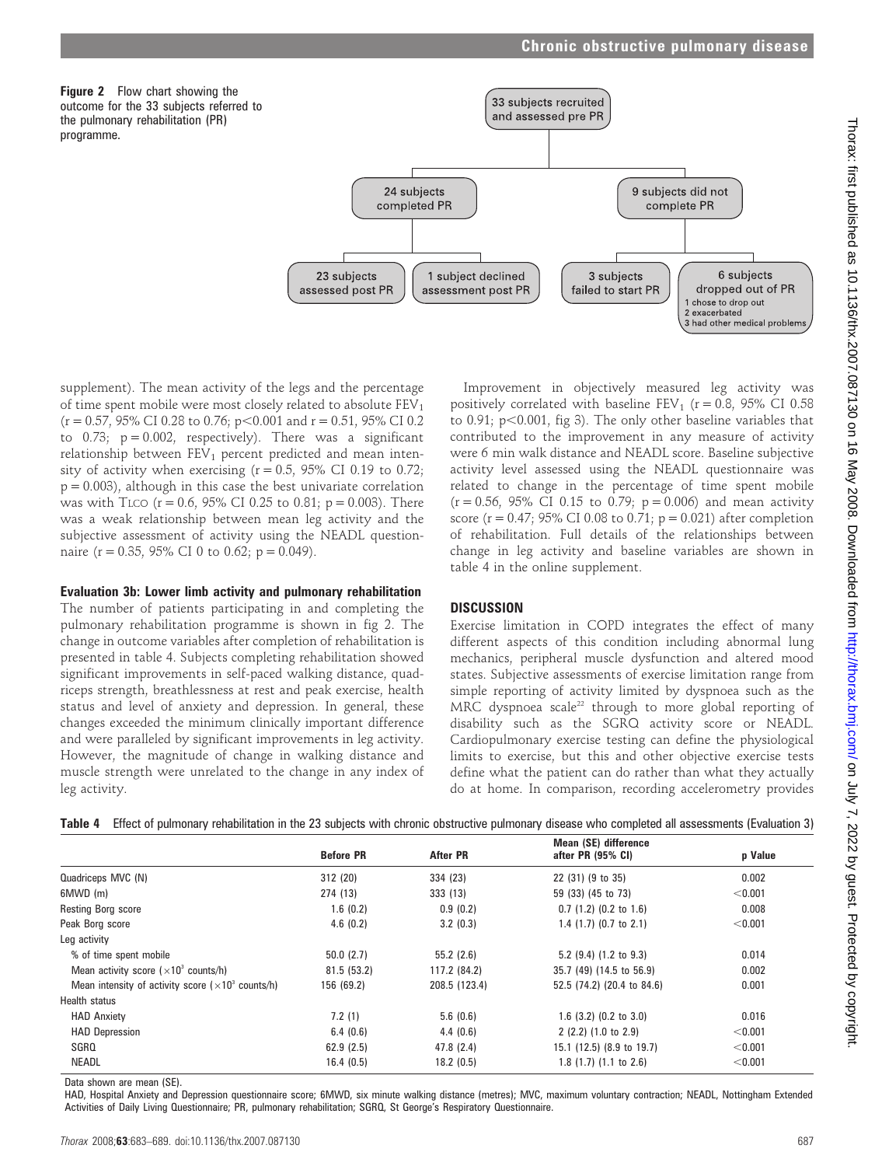



supplement). The mean activity of the legs and the percentage of time spent mobile were most closely related to absolute  $FEV<sub>1</sub>$  $(r = 0.57, 95\% \text{ CI } 0.28 \text{ to } 0.76; p < 0.001 \text{ and } r = 0.51, 95\% \text{ CI } 0.2$ to  $0.73$ ;  $p = 0.002$ , respectively). There was a significant relationship between  $FEV<sub>1</sub>$  percent predicted and mean intensity of activity when exercising  $(r = 0.5, 95\% \text{ CI } 0.19 \text{ to } 0.72;$  $p = 0.003$ ), although in this case the best univariate correlation was with TLCO ( $r = 0.6$ , 95% CI 0.25 to 0.81;  $p = 0.003$ ). There was a weak relationship between mean leg activity and the subjective assessment of activity using the NEADL questionnaire (r = 0.35, 95% CI 0 to 0.62; p = 0.049).

#### Evaluation 3b: Lower limb activity and pulmonary rehabilitation

The number of patients participating in and completing the pulmonary rehabilitation programme is shown in fig 2. The change in outcome variables after completion of rehabilitation is presented in table 4. Subjects completing rehabilitation showed significant improvements in self-paced walking distance, quadriceps strength, breathlessness at rest and peak exercise, health status and level of anxiety and depression. In general, these changes exceeded the minimum clinically important difference and were paralleled by significant improvements in leg activity. However, the magnitude of change in walking distance and muscle strength were unrelated to the change in any index of leg activity.

Improvement in objectively measured leg activity was positively correlated with baseline  $FEV_1$  ( $r = 0.8$ , 95% CI 0.58 to 0.91;  $p<0.001$ , fig 3). The only other baseline variables that contributed to the improvement in any measure of activity were 6 min walk distance and NEADL score. Baseline subjective activity level assessed using the NEADL questionnaire was related to change in the percentage of time spent mobile  $(r = 0.56, 95\% \text{ CI } 0.15 \text{ to } 0.79; p = 0.006)$  and mean activity score ( $r = 0.47$ ; 95% CI 0.08 to 0.71;  $p = 0.021$ ) after completion of rehabilitation. Full details of the relationships between change in leg activity and baseline variables are shown in table 4 in the online supplement.

# **DISCUSSION**

Exercise limitation in COPD integrates the effect of many different aspects of this condition including abnormal lung mechanics, peripheral muscle dysfunction and altered mood states. Subjective assessments of exercise limitation range from simple reporting of activity limited by dyspnoea such as the MRC dyspnoea scale<sup>22</sup> through to more global reporting of disability such as the SGRQ activity score or NEADL. Cardiopulmonary exercise testing can define the physiological limits to exercise, but this and other objective exercise tests define what the patient can do rather than what they actually do at home. In comparison, recording accelerometry provides

|  |  | Table 4 Effect of pulmonary rehabilitation in the 23 subjects with chronic obstructive pulmonary disease who completed all assessments (Evaluation 3) |  |  |  |  |  |
|--|--|-------------------------------------------------------------------------------------------------------------------------------------------------------|--|--|--|--|--|
|--|--|-------------------------------------------------------------------------------------------------------------------------------------------------------|--|--|--|--|--|

|                                                             | <b>Before PR</b> | <b>After PR</b> | Mean (SE) difference<br>after PR (95% CI) | p Value |
|-------------------------------------------------------------|------------------|-----------------|-------------------------------------------|---------|
| Quadriceps MVC (N)                                          | 312 (20)         | 334 (23)        | 22 (31) (9 to 35)                         | 0.002   |
| 6MWD (m)                                                    | 274 (13)         | 333 (13)        | 59 (33) (45 to 73)                        | < 0.001 |
| <b>Resting Borg score</b>                                   | 1.6(0.2)         | 0.9(0.2)        | $0.7$ (1.2) (0.2 to 1.6)                  | 0.008   |
| Peak Borg score                                             | 4.6(0.2)         | 3.2(0.3)        | 1.4 $(1.7)$ $(0.7$ to 2.1)                | < 0.001 |
| Leg activity                                                |                  |                 |                                           |         |
| % of time spent mobile                                      | 50.0(2.7)        | 55.2(2.6)       | 5.2 $(9.4)$ $(1.2$ to $9.3)$              | 0.014   |
| Mean activity score $(x10^3 \text{ counts/h})$              | 81.5(53.2)       | 117.2 (84.2)    | 35.7 (49) (14.5 to 56.9)                  | 0.002   |
| Mean intensity of activity score $(x10^3 \text{ counts/h})$ | 156 (69.2)       | 208.5 (123.4)   | 52.5 (74.2) (20.4 to 84.6)                | 0.001   |
| Health status                                               |                  |                 |                                           |         |
| <b>HAD Anxiety</b>                                          | 7.2(1)           | 5.6(0.6)        | 1.6 $(3.2)$ $(0.2$ to $3.0)$              | 0.016   |
| <b>HAD Depression</b>                                       | 6.4(0.6)         | 4.4(0.6)        | 2(2.2)(1.0 to 2.9)                        | < 0.001 |
| SGRQ                                                        | 62.9(2.5)        | 47.8(2.4)       | 15.1 (12.5) (8.9 to 19.7)                 | < 0.001 |
| <b>NEADL</b>                                                | 16.4(0.5)        | 18.2(0.5)       | 1.8(1.7)(1.1 to 2.6)                      | < 0.001 |

Data shown are mean (SE).

HAD, Hospital Anxiety and Depression questionnaire score; 6MWD, six minute walking distance (metres); MVC, maximum voluntary contraction; NEADL, Nottingham Extended Activities of Daily Living Questionnaire; PR, pulmonary rehabilitation; SGRQ, St George's Respiratory Questionnaire.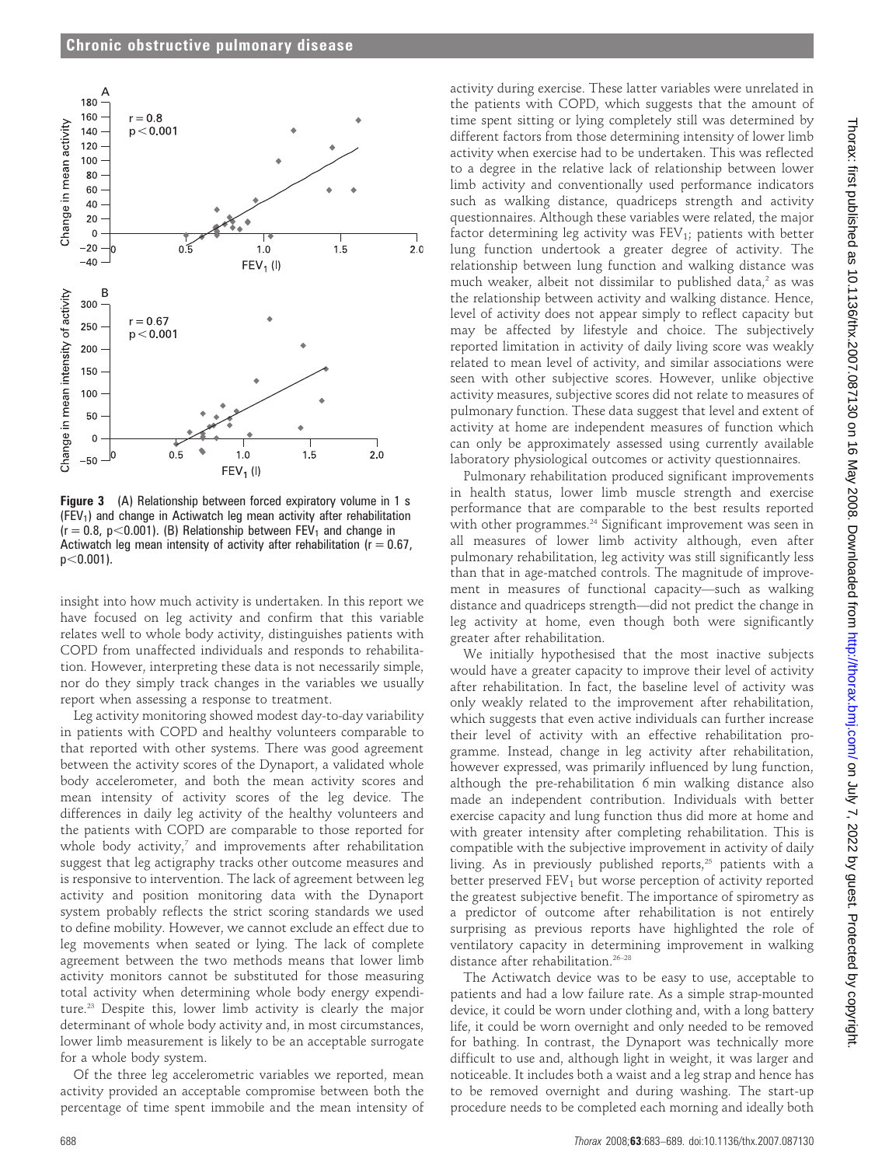

Figure 3 (A) Relationship between forced expiratory volume in 1 s  $(FEV<sub>1</sub>)$  and change in Actiwatch leg mean activity after rehabilitation  $(r = 0.8, p < 0.001)$ . (B) Relationship between FEV<sub>1</sub> and change in Actiwatch leg mean intensity of activity after rehabilitation ( $r = 0.67$ ,  $p<0.001$ ).

insight into how much activity is undertaken. In this report we have focused on leg activity and confirm that this variable relates well to whole body activity, distinguishes patients with COPD from unaffected individuals and responds to rehabilitation. However, interpreting these data is not necessarily simple, nor do they simply track changes in the variables we usually report when assessing a response to treatment.

Leg activity monitoring showed modest day-to-day variability in patients with COPD and healthy volunteers comparable to that reported with other systems. There was good agreement between the activity scores of the Dynaport, a validated whole body accelerometer, and both the mean activity scores and mean intensity of activity scores of the leg device. The differences in daily leg activity of the healthy volunteers and the patients with COPD are comparable to those reported for whole body activity, $^7$  and improvements after rehabilitation suggest that leg actigraphy tracks other outcome measures and is responsive to intervention. The lack of agreement between leg activity and position monitoring data with the Dynaport system probably reflects the strict scoring standards we used to define mobility. However, we cannot exclude an effect due to leg movements when seated or lying. The lack of complete agreement between the two methods means that lower limb activity monitors cannot be substituted for those measuring total activity when determining whole body energy expenditure.23 Despite this, lower limb activity is clearly the major determinant of whole body activity and, in most circumstances, lower limb measurement is likely to be an acceptable surrogate for a whole body system.

Of the three leg accelerometric variables we reported, mean activity provided an acceptable compromise between both the percentage of time spent immobile and the mean intensity of

activity during exercise. These latter variables were unrelated in the patients with COPD, which suggests that the amount of time spent sitting or lying completely still was determined by different factors from those determining intensity of lower limb activity when exercise had to be undertaken. This was reflected to a degree in the relative lack of relationship between lower limb activity and conventionally used performance indicators such as walking distance, quadriceps strength and activity questionnaires. Although these variables were related, the major factor determining leg activity was  $FEV<sub>1</sub>$ ; patients with better lung function undertook a greater degree of activity. The relationship between lung function and walking distance was much weaker, albeit not dissimilar to published data, $2$  as was the relationship between activity and walking distance. Hence, level of activity does not appear simply to reflect capacity but may be affected by lifestyle and choice. The subjectively reported limitation in activity of daily living score was weakly related to mean level of activity, and similar associations were seen with other subjective scores. However, unlike objective activity measures, subjective scores did not relate to measures of pulmonary function. These data suggest that level and extent of activity at home are independent measures of function which can only be approximately assessed using currently available laboratory physiological outcomes or activity questionnaires.

Pulmonary rehabilitation produced significant improvements in health status, lower limb muscle strength and exercise performance that are comparable to the best results reported with other programmes.<sup>24</sup> Significant improvement was seen in all measures of lower limb activity although, even after pulmonary rehabilitation, leg activity was still significantly less than that in age-matched controls. The magnitude of improvement in measures of functional capacity—such as walking distance and quadriceps strength—did not predict the change in leg activity at home, even though both were significantly greater after rehabilitation.

We initially hypothesised that the most inactive subjects would have a greater capacity to improve their level of activity after rehabilitation. In fact, the baseline level of activity was only weakly related to the improvement after rehabilitation, which suggests that even active individuals can further increase their level of activity with an effective rehabilitation programme. Instead, change in leg activity after rehabilitation, however expressed, was primarily influenced by lung function, although the pre-rehabilitation 6 min walking distance also made an independent contribution. Individuals with better exercise capacity and lung function thus did more at home and with greater intensity after completing rehabilitation. This is compatible with the subjective improvement in activity of daily living. As in previously published reports,<sup>25</sup> patients with a better preserved  $FEV<sub>1</sub>$  but worse perception of activity reported the greatest subjective benefit. The importance of spirometry as a predictor of outcome after rehabilitation is not entirely surprising as previous reports have highlighted the role of ventilatory capacity in determining improvement in walking distance after rehabilitation.26–28

The Actiwatch device was to be easy to use, acceptable to patients and had a low failure rate. As a simple strap-mounted device, it could be worn under clothing and, with a long battery life, it could be worn overnight and only needed to be removed for bathing. In contrast, the Dynaport was technically more difficult to use and, although light in weight, it was larger and noticeable. It includes both a waist and a leg strap and hence has to be removed overnight and during washing. The start-up procedure needs to be completed each morning and ideally both